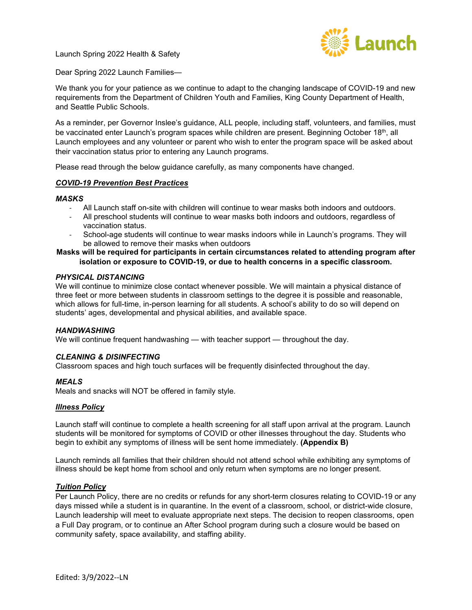

Dear Spring 2022 Launch Families—

We thank you for your patience as we continue to adapt to the changing landscape of COVID-19 and new requirements from the Department of Children Youth and Families, King County Department of Health, and Seattle Public Schools.

As a reminder, per Governor Inslee's guidance, ALL people, including staff, volunteers, and families, must be vaccinated enter Launch's program spaces while children are present. Beginning October 18<sup>th</sup>, all Launch employees and any volunteer or parent who wish to enter the program space will be asked about their vaccination status prior to entering any Launch programs.

Please read through the below guidance carefully, as many components have changed.

#### *COVID-19 Prevention Best Practices*

#### *MASKS*

- All Launch staff on-site with children will continue to wear masks both indoors and outdoors.
- All preschool students will continue to wear masks both indoors and outdoors, regardless of vaccination status.
- School-age students will continue to wear masks indoors while in Launch's programs. They will be allowed to remove their masks when outdoors

### **Masks will be required for participants in certain circumstances related to attending program after isolation or exposure to COVID-19, or due to health concerns in a specific classroom.**

#### *PHYSICAL DISTANCING*

We will continue to minimize close contact whenever possible. We will maintain a physical distance of three feet or more between students in classroom settings to the degree it is possible and reasonable, which allows for full-time, in-person learning for all students. A school's ability to do so will depend on students' ages, developmental and physical abilities, and available space.

#### *HANDWASHING*

We will continue frequent handwashing — with teacher support — throughout the day.

#### *CLEANING & DISINFECTING*

Classroom spaces and high touch surfaces will be frequently disinfected throughout the day.

#### *MEALS*

Meals and snacks will NOT be offered in family style.

#### *Illness Policy*

Launch staff will continue to complete a health screening for all staff upon arrival at the program. Launch students will be monitored for symptoms of COVID or other illnesses throughout the day. Students who begin to exhibit any symptoms of illness will be sent home immediately. **(Appendix B)**

Launch reminds all families that their children should not attend school while exhibiting any symptoms of illness should be kept home from school and only return when symptoms are no longer present.

#### *Tuition Policy*

Per Launch Policy, there are no credits or refunds for any short-term closures relating to COVID-19 or any days missed while a student is in quarantine. In the event of a classroom, school, or district-wide closure, Launch leadership will meet to evaluate appropriate next steps. The decision to reopen classrooms, open a Full Day program, or to continue an After School program during such a closure would be based on community safety, space availability, and staffing ability.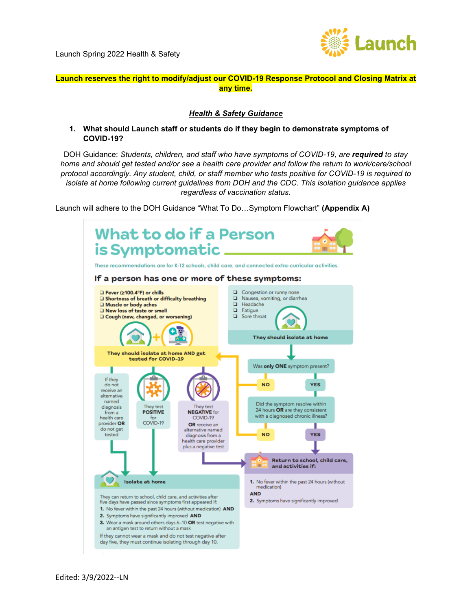

## **Launch reserves the right to modify/adjust our COVID-19 Response Protocol and Closing Matrix at any time.**

#### *Health & Safety Guidance*

**1. What should Launch staff or students do if they begin to demonstrate symptoms of COVID-19?**

DOH Guidance: *Students, children, and staff who have symptoms of COVID-19, are <i>required to stay home and should get tested and/or see a health care provider and follow the return to work/care/school protocol accordingly. Any student, child, or staff member who tests positive for COVID-19 is required to isolate at home following current guidelines from DOH and the CDC. This isolation guidance applies regardless of vaccination status.*

Launch will adhere to the DOH Guidance "What To Do…Symptom Flowchart" **(Appendix A)**

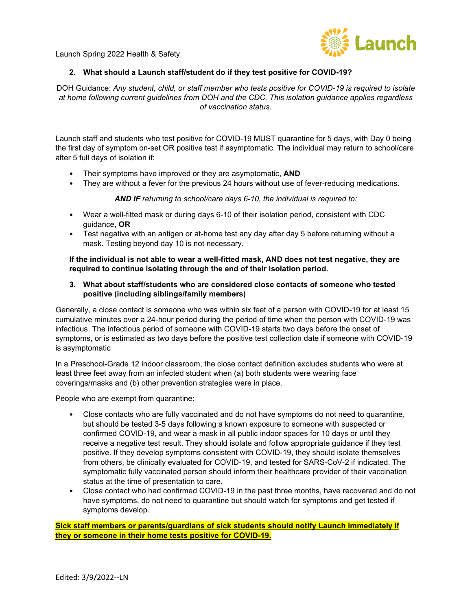

### **2. What should a Launch staff/student do if they test positive for COVID-19?**

DOH Guidance: *Any student, child, or staff member who tests positive for COVID-19 is required to isolate at home following current guidelines from DOH and the CDC. This isolation guidance applies regardless of vaccination status.*

Launch staff and students who test positive for COVID-19 MUST quarantine for 5 days, with Day 0 being the first day of symptom on-set OR positive test if asymptomatic. The individual may return to school/care after 5 full days of isolation if:

- Their symptoms have improved or they are asymptomatic, **AND**
- They are without a fever for the previous 24 hours without use of fever-reducing medications.

*AND IF returning to school/care days 6-10, the individual is required to:*

- Wear a well-fitted mask or during days 6-10 of their isolation period, consistent with CDC guidance, **OR**
- Test negative with an antigen or at-home test any day after day 5 before returning without a mask. Testing beyond day 10 is not necessary.

**If the individual is not able to wear a well-fitted mask, AND does not test negative, they are required to continue isolating through the end of their isolation period.**

#### **3. What about staff/students who are considered close contacts of someone who tested positive (including siblings/family members)**

Generally, a close contact is someone who was within six feet of a person with COVID-19 for at least 15 cumulative minutes over a 24-hour period during the period of time when the person with COVID-19 was infectious. The infectious period of someone with COVID-19 starts two days before the onset of symptoms, or is estimated as two days before the positive test collection date if someone with COVID-19 is asymptomatic

In a Preschool-Grade 12 indoor classroom, the close contact definition excludes students who were at least three feet away from an infected student when (a) both students were wearing face coverings/masks and (b) other prevention strategies were in place.

People who are exempt from quarantine:

- Close contacts who are fully vaccinated and do not have symptoms do not need to quarantine, but should be tested 3-5 days following a known exposure to someone with suspected or confirmed COVID-19, and wear a mask in all public indoor spaces for 10 days or until they receive a negative test result. They should isolate and follow appropriate guidance if they test positive. If they develop symptoms consistent with COVID-19, they should isolate themselves from others, be clinically evaluated for COVID-19, and tested for SARS-CoV-2 if indicated. The symptomatic fully vaccinated person should inform their healthcare provider of their vaccination status at the time of presentation to care.
- Close contact who had confirmed COVID-19 in the past three months, have recovered and do not have symptoms, do not need to quarantine but should watch for symptoms and get tested if symptoms develop.

**Sick staff members or parents/guardians of sick students should notify Launch immediately if they or someone in their home tests positive for COVID-19.**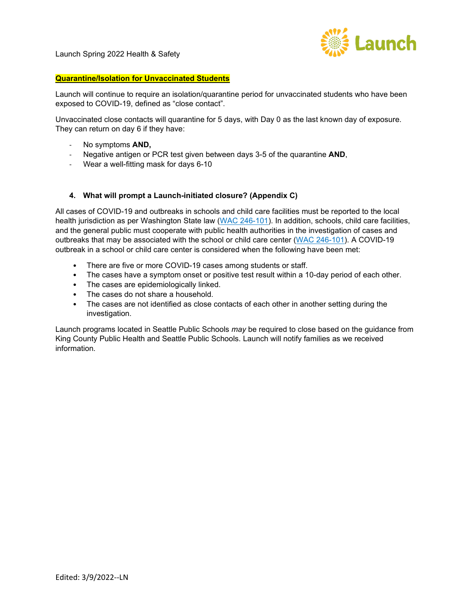

## **Quarantine/Isolation for Unvaccinated Students**

Launch will continue to require an isolation/quarantine period for unvaccinated students who have been exposed to COVID-19, defined as "close contact".

Unvaccinated close contacts will quarantine for 5 days, with Day 0 as the last known day of exposure. They can return on day 6 if they have:

- No symptoms **AND,**
- Negative antigen or PCR test given between days 3-5 of the quarantine **AND**,
- Wear a well-fitting mask for days 6-10

#### **4. What will prompt a Launch-initiated closure? (Appendix C)**

All cases of COVID-19 and outbreaks in schools and child care facilities must be reported to the local health jurisdiction as per Washington State law [\(WAC 246-101\)](https://www.doh.wa.gov/Portals/1/Documents/1600/coronavirus/820-105-K12Schools2021-2022.pdf). In addition, schools, child care facilities, and the general public must cooperate with public health authorities in the investigation of cases and outbreaks that may be associated with the school or child care center [\(WAC 246-101\)](https://app.leg.wa.gov/wac/default.aspx?cite=246-101). A COVID-19 outbreak in a school or child care center is considered when the following have been met:

- There are five or more COVID-19 cases among students or staff.
- The cases have a symptom onset or positive test result within a 10-day period of each other.
- The cases are epidemiologically linked.
- The cases do not share a household.
- The cases are not identified as close contacts of each other in another setting during the investigation.

Launch programs located in Seattle Public Schools *may* be required to close based on the guidance from King County Public Health and Seattle Public Schools. Launch will notify families as we received information.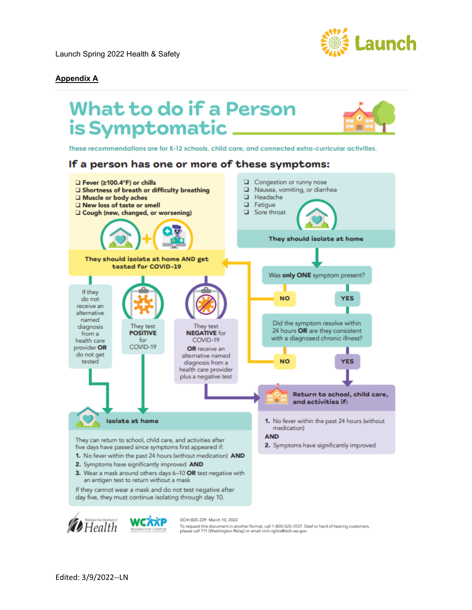

## **Appendix A**

# **What to do if a Person** is Symptomatic \_\_\_

These recommendations are for K-12 schools, child care, and connected extra-curricular activities.

## If a person has one or more of these symptoms:



day five, they must continue isolating through day 10.



DOH 820-229 March 10, 2022

To request this document in another format, call 1-800-525-0127. Deaf or hard of hearing customers,<br>please call 711 (Washington Relay) or email civil.rights@doh.wa.gov.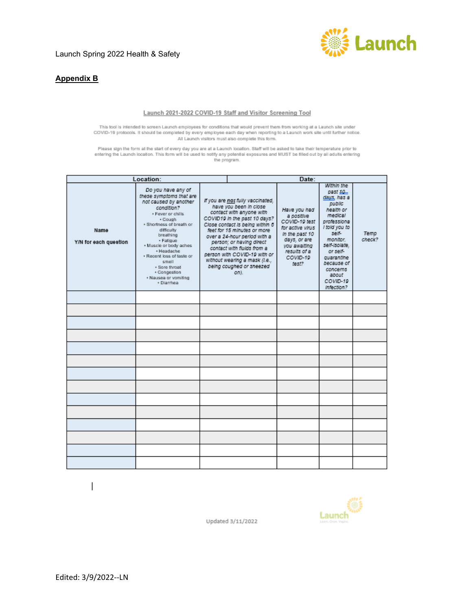

## **Appendix B**

#### Launch 2021-2022 COVID-19 Staff and Visitor Screening Tool

This tool is intended to screen Launch employees for conditions that would prevent them from working at a Launch site under COVID-19 protocols. It should be completed by every employee each day when reporting to a Launch

Please sign the form at the start of every day you are at a Launch location. Staff will be asked to take their temperature prior to<br>entering the Launch location. This form will be used to notify any potential exposures and

| Location:                     |                                                                                                                                                                                                                                                                                                                                                |  | Date:                                                                                                                                                                                                                                                                                                                                                                                   |                                                                                                                                                        |                                                                                                                                                                                                                                      |                |
|-------------------------------|------------------------------------------------------------------------------------------------------------------------------------------------------------------------------------------------------------------------------------------------------------------------------------------------------------------------------------------------|--|-----------------------------------------------------------------------------------------------------------------------------------------------------------------------------------------------------------------------------------------------------------------------------------------------------------------------------------------------------------------------------------------|--------------------------------------------------------------------------------------------------------------------------------------------------------|--------------------------------------------------------------------------------------------------------------------------------------------------------------------------------------------------------------------------------------|----------------|
| Name<br>Y/N for each question | Do you have any of<br>these symptoms that are<br>not caused by another<br>condition?<br>. Fever or chills<br>+ Cough<br>· Shortness of breath or<br>difficulty.<br>breathing<br>· Fatigue<br>. Muscle or body aches<br>· Headache<br>. Recent loss of taste or<br>smell<br>· Sore throat<br>· Congestion<br>. Nausea or vomiting<br>· Diarrhea |  | If you are not fully vaccinated,<br>have you been in close<br>contact with anyone with<br>COVID19 In the past 10 days?<br>Close contact is being within 6<br>feet for 15 minutes or more<br>over a 24-hour period with a<br>person; or having direct<br>contact with fluids from a<br>person with COVID-19 with or<br>without wearing a mask (i.e.,<br>being coughed or sneezed<br>on). | Have you had<br>a positive<br>COVID-10 fest<br>for active virus<br>In the past 10<br>days, or are<br>vou awaiting<br>results of a<br>COVID-19<br>test? | Within the<br>past 10.<br>days, has a<br>public<br>health or<br>medical<br>professiona<br>I told you to<br>self-<br>monitor.<br>self-Isolate.<br>or self-<br>quarantine<br>because of<br>concerns<br>about<br>COVID-19<br>Infection? | Temp<br>check? |
|                               |                                                                                                                                                                                                                                                                                                                                                |  |                                                                                                                                                                                                                                                                                                                                                                                         |                                                                                                                                                        |                                                                                                                                                                                                                                      |                |
|                               |                                                                                                                                                                                                                                                                                                                                                |  |                                                                                                                                                                                                                                                                                                                                                                                         |                                                                                                                                                        |                                                                                                                                                                                                                                      |                |
|                               |                                                                                                                                                                                                                                                                                                                                                |  |                                                                                                                                                                                                                                                                                                                                                                                         |                                                                                                                                                        |                                                                                                                                                                                                                                      |                |
|                               |                                                                                                                                                                                                                                                                                                                                                |  |                                                                                                                                                                                                                                                                                                                                                                                         |                                                                                                                                                        |                                                                                                                                                                                                                                      |                |
|                               |                                                                                                                                                                                                                                                                                                                                                |  |                                                                                                                                                                                                                                                                                                                                                                                         |                                                                                                                                                        |                                                                                                                                                                                                                                      |                |
|                               |                                                                                                                                                                                                                                                                                                                                                |  |                                                                                                                                                                                                                                                                                                                                                                                         |                                                                                                                                                        |                                                                                                                                                                                                                                      |                |
|                               |                                                                                                                                                                                                                                                                                                                                                |  |                                                                                                                                                                                                                                                                                                                                                                                         |                                                                                                                                                        |                                                                                                                                                                                                                                      |                |
|                               |                                                                                                                                                                                                                                                                                                                                                |  |                                                                                                                                                                                                                                                                                                                                                                                         |                                                                                                                                                        |                                                                                                                                                                                                                                      |                |
|                               |                                                                                                                                                                                                                                                                                                                                                |  |                                                                                                                                                                                                                                                                                                                                                                                         |                                                                                                                                                        |                                                                                                                                                                                                                                      |                |
|                               |                                                                                                                                                                                                                                                                                                                                                |  |                                                                                                                                                                                                                                                                                                                                                                                         |                                                                                                                                                        |                                                                                                                                                                                                                                      |                |
|                               |                                                                                                                                                                                                                                                                                                                                                |  |                                                                                                                                                                                                                                                                                                                                                                                         |                                                                                                                                                        |                                                                                                                                                                                                                                      |                |
|                               |                                                                                                                                                                                                                                                                                                                                                |  |                                                                                                                                                                                                                                                                                                                                                                                         |                                                                                                                                                        |                                                                                                                                                                                                                                      |                |
|                               |                                                                                                                                                                                                                                                                                                                                                |  |                                                                                                                                                                                                                                                                                                                                                                                         |                                                                                                                                                        |                                                                                                                                                                                                                                      |                |
|                               |                                                                                                                                                                                                                                                                                                                                                |  |                                                                                                                                                                                                                                                                                                                                                                                         |                                                                                                                                                        |                                                                                                                                                                                                                                      |                |





Updated 3/11/2022